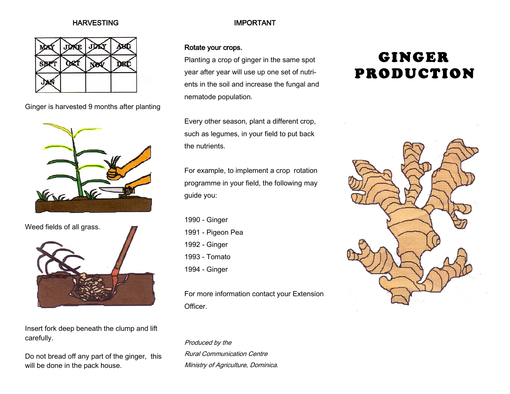#### **HARVESTING**



Ginger is harvested 9 months after planting





Insert fork deep beneath the clump and lift carefully.

Do not bread off any part of the ginger, this will be done in the pack house.

## IMPORTANT

### Rotate your crops.

Planting a crop of ginger in the same spot year after year will use up one set of nutrients in the soil and increase the fungal and nematode population.

Every other season, plant a different crop, such as legumes, in your field to put back the nutrients.

For example, to implement a crop rotation programme in your field, the following may guide you:

1990 - Ginger 1991 - Pigeon Pea 1992 - Ginger 1993 - Tomato 1994 - Ginger

For more information contact your Extension Officer.

Produced by the Rural Communication Centre Ministry of Agriculture, Dominica.

# **GINGER PRODUCTION**